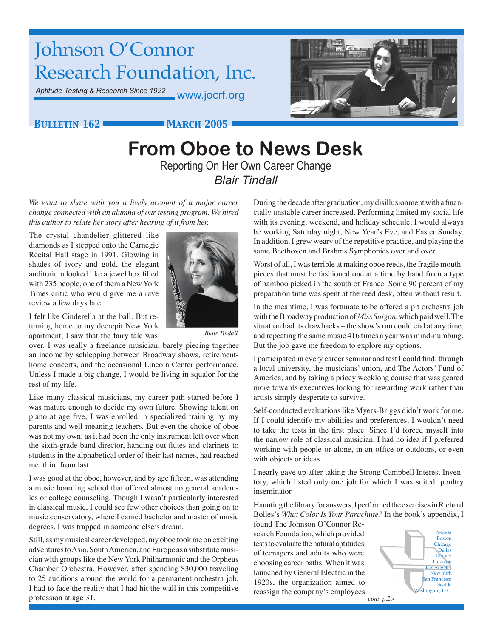# Johnson O'Connor Research Foundation, Inc.

*Aptitude Testing & Research Since 1922* www.jocrf.org



### *Bulletin 162 March 2005*

# **From Oboe to News Desk** Reporting On Her Own Career Change *Blair Tindall*

*We want to share with you a lively account of a major career change connected with an alumna of our testing program. We hired this author to relate her story after hearing of it from her.*

The crystal chandelier glittered like diamonds as I stepped onto the Carnegie Recital Hall stage in 1991. Glowing in shades of ivory and gold, the elegant auditorium looked like a jewel box filled with 235 people, one of them a New York Times critic who would give me a rave review a few days later.

I felt like Cinderella at the ball. But returning home to my decrepit New York apartment, I saw that the fairy tale was



*Blair Tindall*

over. I was really a freelance musician, barely piecing together an income by schlepping between Broadway shows, retirementhome concerts, and the occasional Lincoln Center performance. Unless I made a big change, I would be living in squalor for the rest of my life.

Like many classical musicians, my career path started before I was mature enough to decide my own future. Showing talent on piano at age five, I was enrolled in specialized training by my parents and well-meaning teachers. But even the choice of oboe was not my own, as it had been the only instrument left over when the sixth-grade band director, handing out flutes and clarinets to students in the alphabetical order of their last names, had reached me, third from last.

I was good at the oboe, however, and by age fifteen, was attending a music boarding school that offered almost no general academics or college counseling. Though I wasn't particularly interested in classical music, I could see few other choices than going on to music conservatory, where I earned bachelor and master of music degrees. I was trapped in someone else's dream.

Still, as my musical career developed, my oboe took me on exciting adventures to Asia, South America, and Europe as a substitute musician with groups like the New York Philharmonic and the Orpheus Chamber Orchestra. However, after spending \$30,000 traveling to 25 auditions around the world for a permanent orchestra job, I had to face the reality that I had hit the wall in this competitive profession at age 31.

During the decade after graduation, my disillusionment with a financially unstable career increased. Performing limited my social life with its evening, weekend, and holiday schedule; I would always be working Saturday night, New Year's Eve, and Easter Sunday. In addition, I grew weary of the repetitive practice, and playing the same Beethoven and Brahms Symphonies over and over.

Worst of all, I was terrible at making oboe reeds, the fragile mouthpieces that must be fashioned one at a time by hand from a type of bamboo picked in the south of France. Some 90 percent of my preparation time was spent at the reed desk, often without result.

In the meantime, I was fortunate to be offered a pit orchestra job with the Broadway production of *Miss Saigon*, which paid well. The situation had its drawbacks – the show's run could end at any time, and repeating the same music 416 times a year was mind-numbing. But the job gave me freedom to explore my options.

I participated in every career seminar and test I could find: through a local university, the musicians' union, and The Actors' Fund of America, and by taking a pricey weeklong course that was geared more towards executives looking for rewarding work rather than artists simply desperate to survive.

Self-conducted evaluations like Myers-Briggs didn't work for me. If I could identify my abilities and preferences, I wouldn't need to take the tests in the first place. Since I'd forced myself into the narrow role of classical musician, I had no idea if I preferred working with people or alone, in an office or outdoors, or even with objects or ideas.

I nearly gave up after taking the Strong Campbell Interest Inventory, which listed only one job for which I was suited: poultry inseminator.

Haunting the library for answers, I performed the exercises in Richard Bolles's *What Color Is Your Parachute?* In the book's appendix, I

found The Johnson O'Connor Research Foundation, which provided tests to evaluate the natural aptitudes of teenagers and adults who were choosing career paths. When it was launched by General Electric in the 1920s, the organization aimed to reassign the company's employees

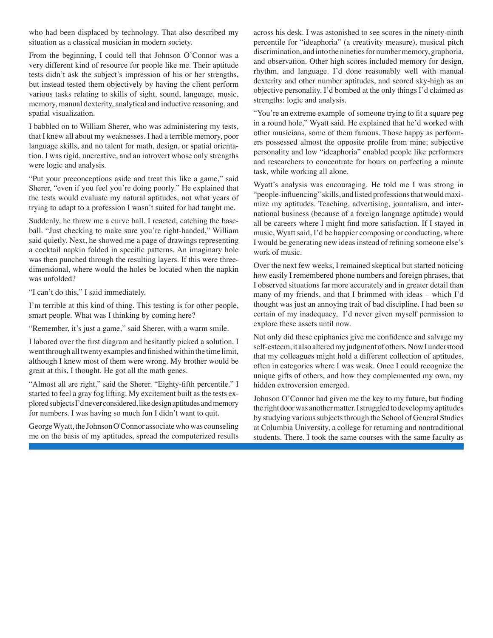who had been displaced by technology. That also described my situation as a classical musician in modern society.

From the beginning, I could tell that Johnson O'Connor was a very different kind of resource for people like me. Their aptitude tests didn't ask the subject's impression of his or her strengths, but instead tested them objectively by having the client perform various tasks relating to skills of sight, sound, language, music, memory, manual dexterity, analytical and inductive reasoning, and spatial visualization.

I babbled on to William Sherer, who was administering my tests, that I knew all about my weaknesses. I had a terrible memory, poor language skills, and no talent for math, design, or spatial orientation. I was rigid, uncreative, and an introvert whose only strengths were logic and analysis.

"Put your preconceptions aside and treat this like a game," said Sherer, "even if you feel you're doing poorly." He explained that the tests would evaluate my natural aptitudes, not what years of trying to adapt to a profession I wasn't suited for had taught me.

Suddenly, he threw me a curve ball. I reacted, catching the baseball. "Just checking to make sure you're right-handed," William said quietly. Next, he showed me a page of drawings representing a cocktail napkin folded in specific patterns. An imaginary hole was then punched through the resulting layers. If this were threedimensional, where would the holes be located when the napkin was unfolded?

"I can't do this," I said immediately.

I'm terrible at this kind of thing. This testing is for other people, smart people. What was I thinking by coming here?

"Remember, it's just a game," said Sherer, with a warm smile.

I labored over the first diagram and hesitantly picked a solution. I went through all twenty examples and finished within the time limit, although I knew most of them were wrong. My brother would be great at this, I thought. He got all the math genes.

"Almost all are right," said the Sherer. "Eighty-fifth percentile." I started to feel a gray fog lifting. My excitement built as the tests explored subjects I'd never considered, like design aptitudes and memory for numbers. I was having so much fun I didn't want to quit.

George Wyatt, the Johnson O'Connor associate who was counseling me on the basis of my aptitudes, spread the computerized results across his desk. I was astonished to see scores in the ninety-ninth percentile for "ideaphoria" (a creativity measure), musical pitch discrimination, and into the nineties for number memory, graphoria, and observation. Other high scores included memory for design, rhythm, and language. I'd done reasonably well with manual dexterity and other number aptitudes, and scored sky-high as an objective personality. I'd bombed at the only things I'd claimed as strengths: logic and analysis.

"You're an extreme example of someone trying to fit a square peg in a round hole," Wyatt said. He explained that he'd worked with other musicians, some of them famous. Those happy as performers possessed almost the opposite profile from mine; subjective personality and low "ideaphoria" enabled people like performers and researchers to concentrate for hours on perfecting a minute task, while working all alone.

Wyatt's analysis was encouraging. He told me I was strong in "people-influencing" skills, and listed professions that would maximize my aptitudes. Teaching, advertising, journalism, and international business (because of a foreign language aptitude) would all be careers where I might find more satisfaction. If I stayed in music, Wyatt said, I'd be happier composing or conducting, where I would be generating new ideas instead of refining someone else's work of music.

Over the next few weeks, I remained skeptical but started noticing how easily I remembered phone numbers and foreign phrases, that I observed situations far more accurately and in greater detail than many of my friends, and that I brimmed with ideas – which I'd thought was just an annoying trait of bad discipline. I had been so certain of my inadequacy, I'd never given myself permission to explore these assets until now.

Not only did these epiphanies give me confidence and salvage my self-esteem, it also altered my judgment of others. Now I understood that my colleagues might hold a different collection of aptitudes, often in categories where I was weak. Once I could recognize the unique gifts of others, and how they complemented my own, my hidden extroversion emerged.

Johnson O'Connor had given me the key to my future, but finding the right door was another matter. I struggled to develop my aptitudes by studying various subjects through the School of General Studies at Columbia University, a college for returning and nontraditional students. There, I took the same courses with the same faculty as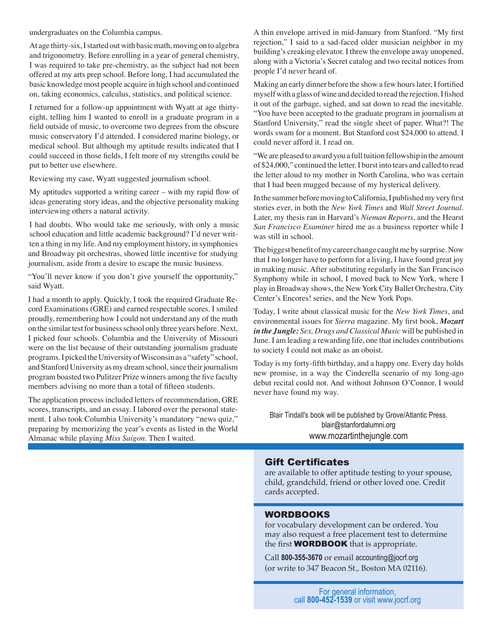undergraduates on the Columbia campus.

At age thirty-six, I started out with basic math, moving on to algebra and trigonometry. Before enrolling in a year of general chemistry, I was required to take pre-chemistry, as the subject had not been offered at my arts prep school. Before long, I had accumulated the basic knowledge most people acquire in high school and continued on, taking economics, calculus, statistics, and political science.

I returned for a follow-up appointment with Wyatt at age thirtyeight, telling him I wanted to enroll in a graduate program in a field outside of music, to overcome two degrees from the obscure music conservatory I'd attended. I considered marine biology, or medical school. But although my aptitude results indicated that I could succeed in those fields, I felt more of my strengths could be put to better use elsewhere.

Reviewing my case, Wyatt suggested journalism school.

My aptitudes supported a writing career – with my rapid flow of ideas generating story ideas, and the objective personality making interviewing others a natural activity.

I had doubts. Who would take me seriously, with only a music school education and little academic background? I'd never written a thing in my life. And my employment history, in symphonies and Broadway pit orchestras, showed little incentive for studying journalism, aside from a desire to escape the music business.

"You'll never know if you don't give yourself the opportunity," said Wyatt.

I had a month to apply. Quickly, I took the required Graduate Record Examinations (GRE) and earned respectable scores. I smiled proudly, remembering how I could not understand any of the math on the similar test for business school only three years before. Next, I picked four schools. Columbia and the University of Missouri were on the list because of their outstanding journalism graduate programs. I picked the University of Wisconsin as a "safety" school, and Stanford University as my dream school, since their journalism program boasted two Pulitzer Prize winners among the five faculty members advising no more than a total of fifteen students.

The application process included letters of recommendation, GRE scores, transcripts, and an essay. I labored over the personal statement. I also took Columbia University's mandatory "news quiz," preparing by memorizing the year's events as listed in the World Almanac while playing *Miss Saigon*. Then I waited.

A thin envelope arrived in mid-January from Stanford. "My first rejection," I said to a sad-faced older musician neighbor in my building's creaking elevator. I threw the envelope away unopened, along with a Victoria's Secret catalog and two recital notices from people I'd never heard of.

Making an early dinner before the show a few hours later, I fortified myself with a glass of wine and decided to read the rejection. I fished it out of the garbage, sighed, and sat down to read the inevitable. "You have been accepted to the graduate program in journalism at Stanford University," read the single sheet of paper. What?! The words swam for a moment. But Stanford cost \$24,000 to attend. I could never afford it. I read on.

"We are pleased to award you a full tuition fellowship in the amount of \$24,000," continued the letter. I burst into tears and called to read the letter aloud to my mother in North Carolina, who was certain that I had been mugged because of my hysterical delivery.

In the summer before moving to California, I published my very first stories ever, in both the *New York Times* and *Wall Street Journal*. Later, my thesis ran in Harvard's *Nieman Reports*, and the Hearst *San Francisco Examiner* hired me as a business reporter while I was still in school.

The biggest benefit of my career change caught me by surprise. Now that I no longer have to perform for a living, I have found great joy in making music. After substituting regularly in the San Francisco Symphony while in school, I moved back to New York, where I play in Broadway shows, the New York City Ballet Orchestra, City Center's Encores! series, and the New York Pops.

Today, I write about classical music for the *New York Times*, and environmental issues for *Sierra* magazine. My first book, *Mozart in the Jungle: Sex, Drugs and Classical Music* will be published in June. I am leading a rewarding life, one that includes contributions to society I could not make as an oboist.

Today is my forty-fifth birthday, and a happy one. Every day holds new promise, in a way the Cinderella scenario of my long-ago debut recital could not. And without Johnson O'Connor, I would never have found my way.

Blair Tindall's book will be published by Grove/Atlantic Press. blair@stanfordalumni.org www.mozartinthejungle.com

#### Gift Certificates

are available to offer aptitude testing to your spouse, child, grandchild, friend or other loved one. Credit cards accepted.

#### WORDBOOKS

for vocabulary development can be ordered. You may also request a free placement test to determine the first **WORDBOOK** that is appropriate.

Call **800-355-3670** or email accounting@jocrf.org (or write to 347 Beacon St., Boston MA 02116).

For general information, call **800-452-1539** or visit www.jocrf.org